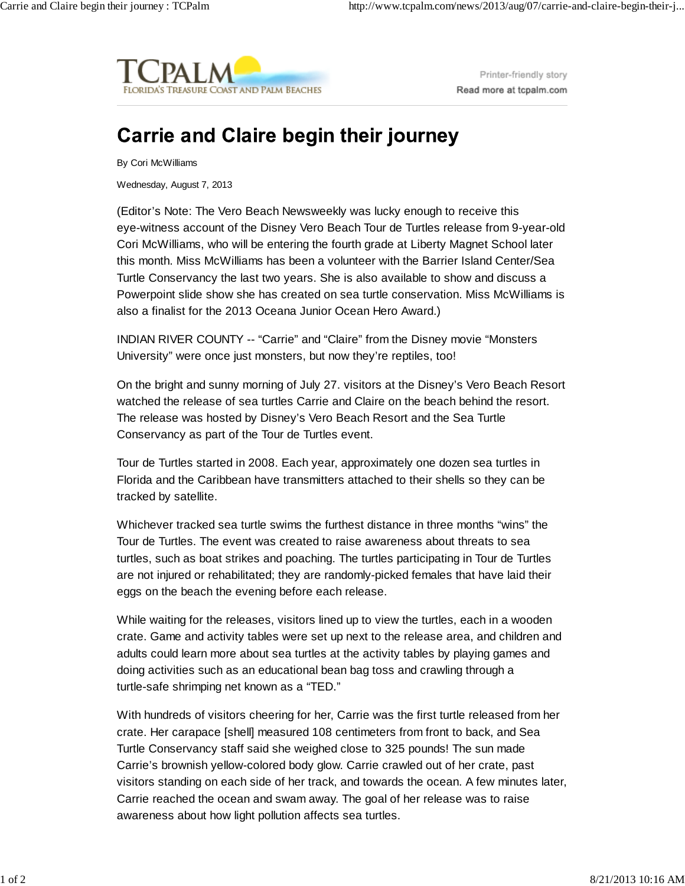

Printer-friendly story Read more at tcpalm.com

## **Carrie and Claire begin their journey**

By Cori McWilliams

Wednesday, August 7, 2013

(Editor's Note: The Vero Beach Newsweekly was lucky enough to receive this eye-witness account of the Disney Vero Beach Tour de Turtles release from 9-year-old Cori McWilliams, who will be entering the fourth grade at Liberty Magnet School later this month. Miss McWilliams has been a volunteer with the Barrier Island Center/Sea Turtle Conservancy the last two years. She is also available to show and discuss a Powerpoint slide show she has created on sea turtle conservation. Miss McWilliams is also a finalist for the 2013 Oceana Junior Ocean Hero Award.)

INDIAN RIVER COUNTY -- "Carrie" and "Claire" from the Disney movie "Monsters University" were once just monsters, but now they're reptiles, too!

On the bright and sunny morning of July 27. visitors at the Disney's Vero Beach Resort watched the release of sea turtles Carrie and Claire on the beach behind the resort. The release was hosted by Disney's Vero Beach Resort and the Sea Turtle Conservancy as part of the Tour de Turtles event.

Tour de Turtles started in 2008. Each year, approximately one dozen sea turtles in Florida and the Caribbean have transmitters attached to their shells so they can be tracked by satellite.

Whichever tracked sea turtle swims the furthest distance in three months "wins" the Tour de Turtles. The event was created to raise awareness about threats to sea turtles, such as boat strikes and poaching. The turtles participating in Tour de Turtles are not injured or rehabilitated; they are randomly-picked females that have laid their eggs on the beach the evening before each release.

While waiting for the releases, visitors lined up to view the turtles, each in a wooden crate. Game and activity tables were set up next to the release area, and children and adults could learn more about sea turtles at the activity tables by playing games and doing activities such as an educational bean bag toss and crawling through a turtle-safe shrimping net known as a "TED."

With hundreds of visitors cheering for her, Carrie was the first turtle released from her crate. Her carapace [shell] measured 108 centimeters from front to back, and Sea Turtle Conservancy staff said she weighed close to 325 pounds! The sun made Carrie's brownish yellow-colored body glow. Carrie crawled out of her crate, past visitors standing on each side of her track, and towards the ocean. A few minutes later, Carrie reached the ocean and swam away. The goal of her release was to raise awareness about how light pollution affects sea turtles.